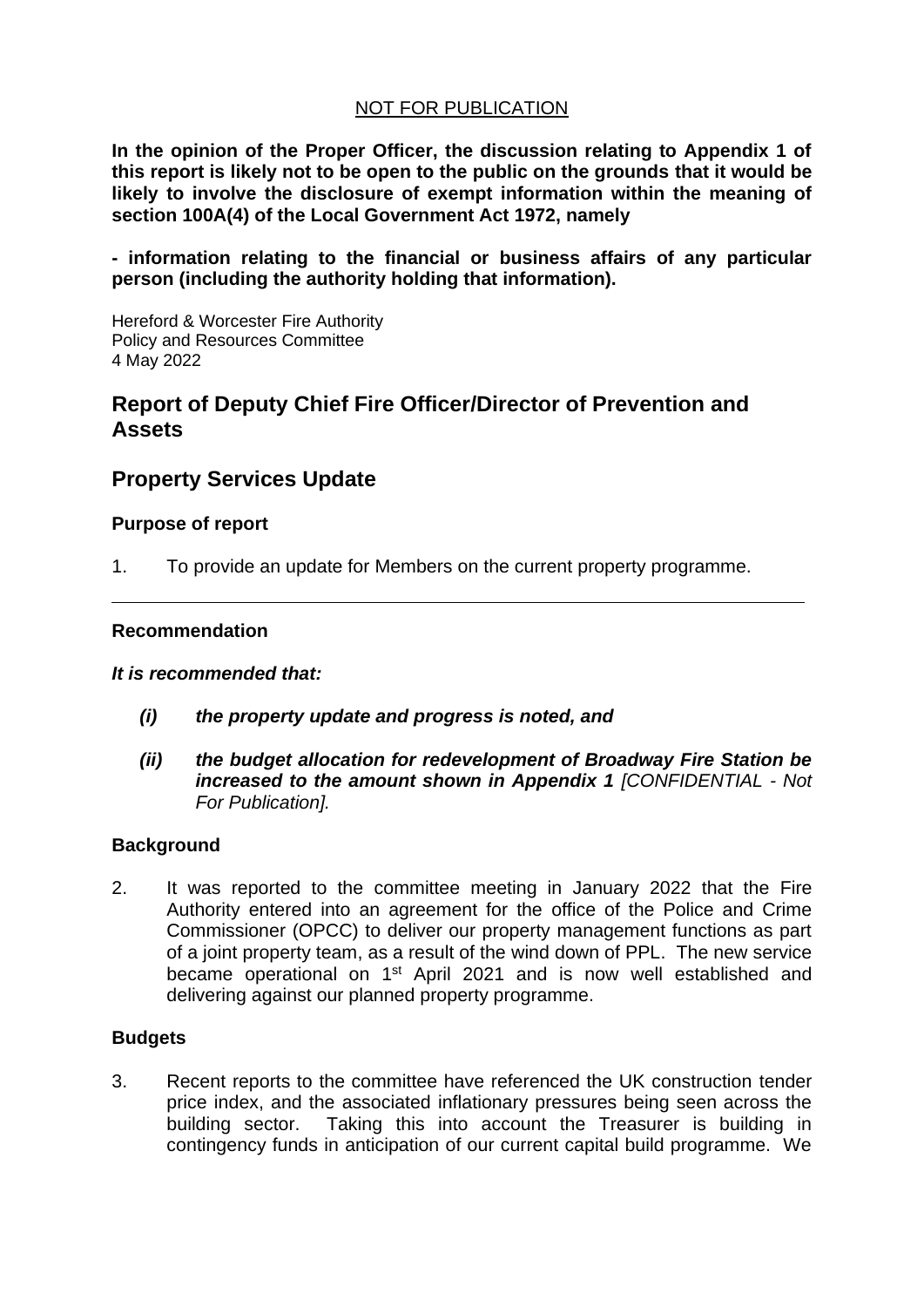## NOT FOR PUBLICATION

**In the opinion of the Proper Officer, the discussion relating to Appendix 1 of this report is likely not to be open to the public on the grounds that it would be likely to involve the disclosure of exempt information within the meaning of section 100A(4) of the Local Government Act 1972, namely**

**- information relating to the financial or business affairs of any particular person (including the authority holding that information).**

Hereford & Worcester Fire Authority Policy and Resources Committee 4 May 2022

## **Report of Deputy Chief Fire Officer/Director of Prevention and Assets**

# **Property Services Update**

#### **Purpose of report**

1. To provide an update for Members on the current property programme.

#### **Recommendation**

#### *It is recommended that:*

- *(i) the property update and progress is noted, and*
- *(ii) the budget allocation for redevelopment of Broadway Fire Station be increased to the amount shown in Appendix 1 [CONFIDENTIAL - Not For Publication].*

#### **Background**

2. It was reported to the committee meeting in January 2022 that the Fire Authority entered into an agreement for the office of the Police and Crime Commissioner (OPCC) to deliver our property management functions as part of a joint property team, as a result of the wind down of PPL. The new service became operational on 1<sup>st</sup> April 2021 and is now well established and delivering against our planned property programme.

#### **Budgets**

3. Recent reports to the committee have referenced the UK construction tender price index, and the associated inflationary pressures being seen across the building sector. Taking this into account the Treasurer is building in contingency funds in anticipation of our current capital build programme. We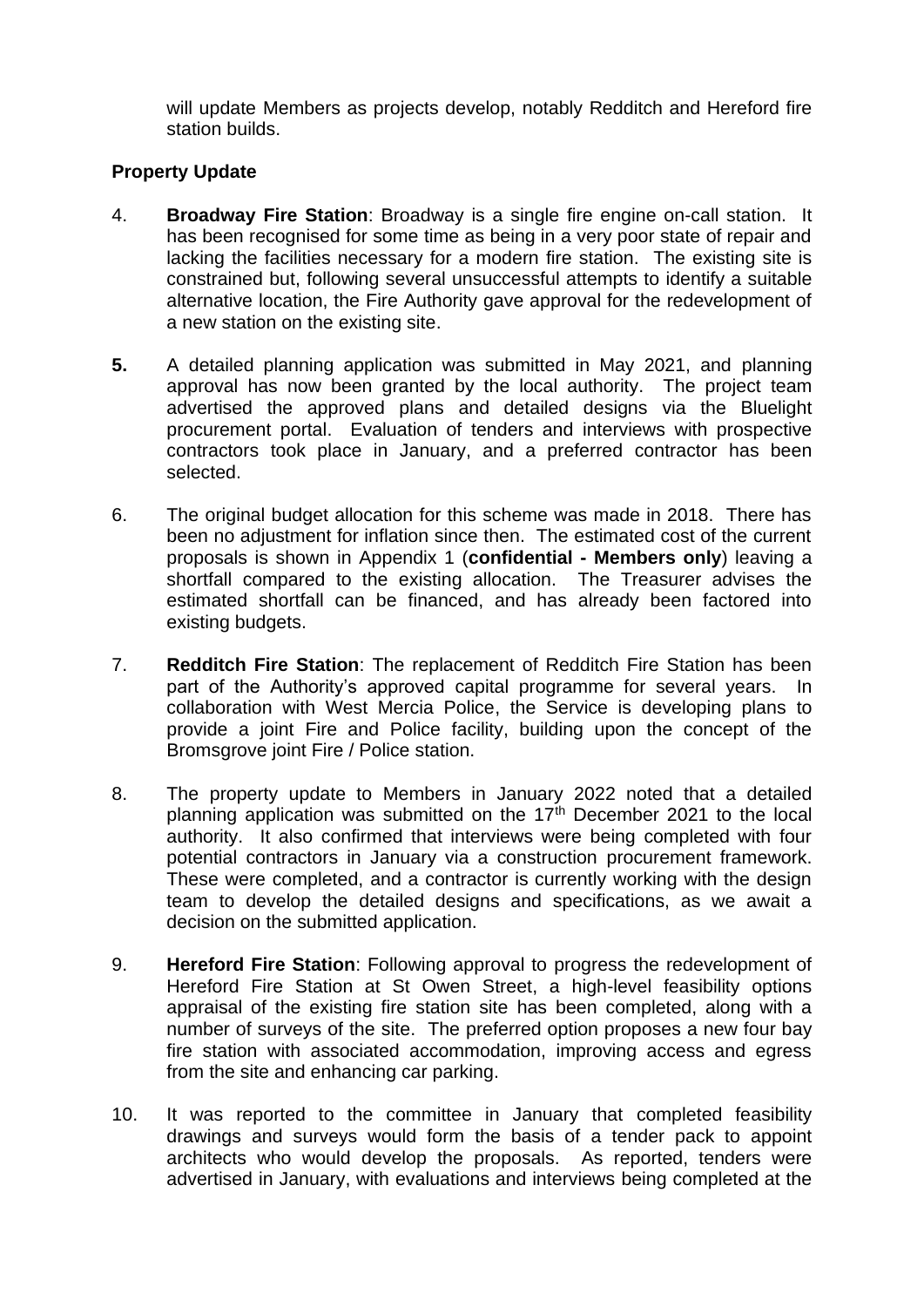will update Members as projects develop, notably Redditch and Hereford fire station builds.

## **Property Update**

- 4. **Broadway Fire Station**: Broadway is a single fire engine on-call station. It has been recognised for some time as being in a very poor state of repair and lacking the facilities necessary for a modern fire station. The existing site is constrained but, following several unsuccessful attempts to identify a suitable alternative location, the Fire Authority gave approval for the redevelopment of a new station on the existing site.
- **5.** A detailed planning application was submitted in May 2021, and planning approval has now been granted by the local authority. The project team advertised the approved plans and detailed designs via the Bluelight procurement portal. Evaluation of tenders and interviews with prospective contractors took place in January, and a preferred contractor has been selected.
- 6. The original budget allocation for this scheme was made in 2018. There has been no adjustment for inflation since then. The estimated cost of the current proposals is shown in Appendix 1 (**confidential - Members only**) leaving a shortfall compared to the existing allocation. The Treasurer advises the estimated shortfall can be financed, and has already been factored into existing budgets.
- 7. **Redditch Fire Station**: The replacement of Redditch Fire Station has been part of the Authority's approved capital programme for several years. In collaboration with West Mercia Police, the Service is developing plans to provide a joint Fire and Police facility, building upon the concept of the Bromsgrove joint Fire / Police station.
- 8. The property update to Members in January 2022 noted that a detailed planning application was submitted on the  $17<sup>th</sup>$  December 2021 to the local authority. It also confirmed that interviews were being completed with four potential contractors in January via a construction procurement framework. These were completed, and a contractor is currently working with the design team to develop the detailed designs and specifications, as we await a decision on the submitted application.
- 9. **Hereford Fire Station**: Following approval to progress the redevelopment of Hereford Fire Station at St Owen Street, a high-level feasibility options appraisal of the existing fire station site has been completed, along with a number of surveys of the site. The preferred option proposes a new four bay fire station with associated accommodation, improving access and egress from the site and enhancing car parking.
- 10. It was reported to the committee in January that completed feasibility drawings and surveys would form the basis of a tender pack to appoint architects who would develop the proposals. As reported, tenders were advertised in January, with evaluations and interviews being completed at the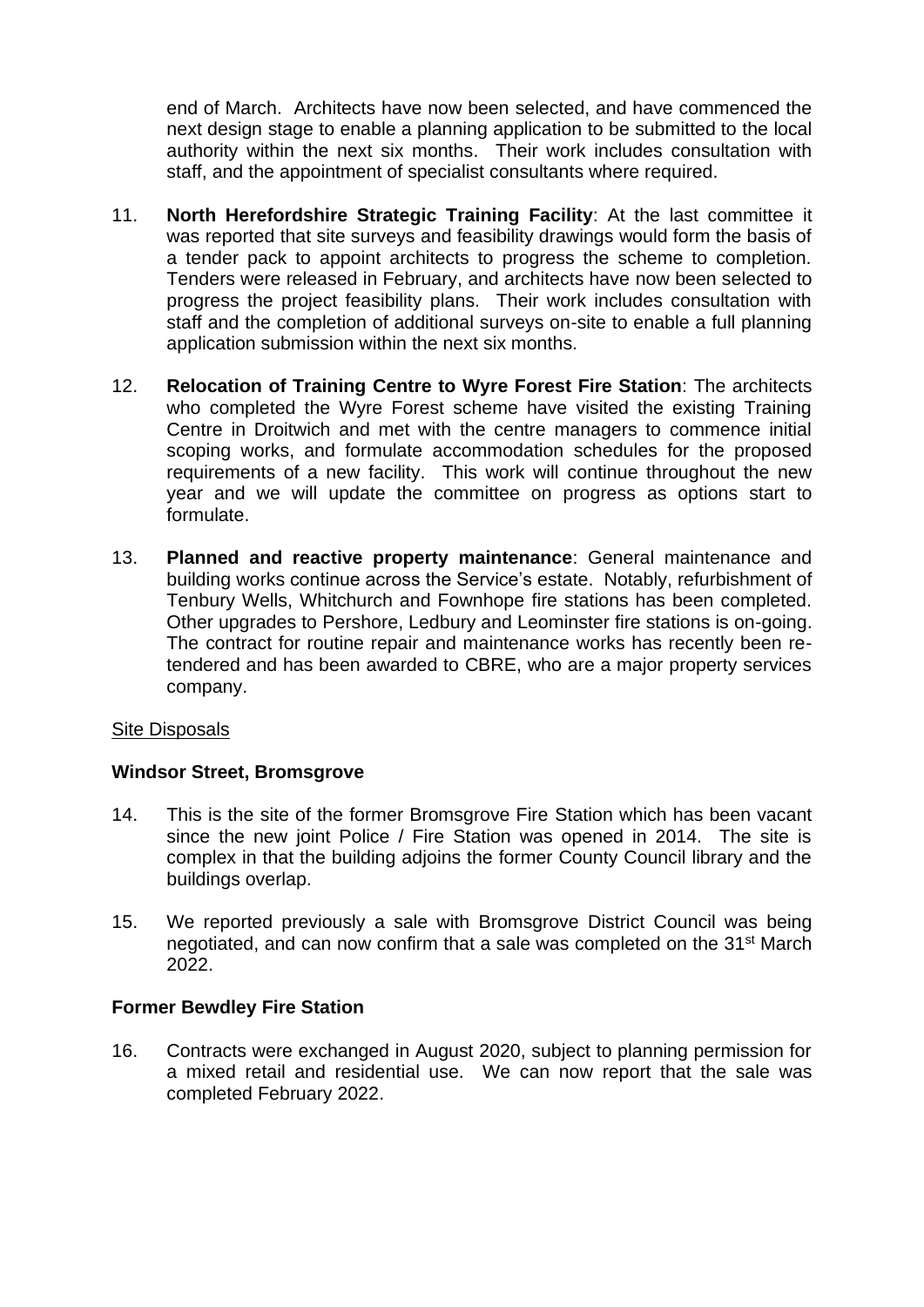end of March. Architects have now been selected, and have commenced the next design stage to enable a planning application to be submitted to the local authority within the next six months. Their work includes consultation with staff, and the appointment of specialist consultants where required.

- 11. **North Herefordshire Strategic Training Facility**: At the last committee it was reported that site surveys and feasibility drawings would form the basis of a tender pack to appoint architects to progress the scheme to completion. Tenders were released in February, and architects have now been selected to progress the project feasibility plans. Their work includes consultation with staff and the completion of additional surveys on-site to enable a full planning application submission within the next six months.
- 12. **Relocation of Training Centre to Wyre Forest Fire Station**: The architects who completed the Wyre Forest scheme have visited the existing Training Centre in Droitwich and met with the centre managers to commence initial scoping works, and formulate accommodation schedules for the proposed requirements of a new facility. This work will continue throughout the new year and we will update the committee on progress as options start to formulate.
- 13. **Planned and reactive property maintenance**: General maintenance and building works continue across the Service's estate. Notably, refurbishment of Tenbury Wells, Whitchurch and Fownhope fire stations has been completed. Other upgrades to Pershore, Ledbury and Leominster fire stations is on-going. The contract for routine repair and maintenance works has recently been retendered and has been awarded to CBRE, who are a major property services company.

### Site Disposals

### **Windsor Street, Bromsgrove**

- 14. This is the site of the former Bromsgrove Fire Station which has been vacant since the new joint Police / Fire Station was opened in 2014. The site is complex in that the building adjoins the former County Council library and the buildings overlap.
- 15. We reported previously a sale with Bromsgrove District Council was being negotiated, and can now confirm that a sale was completed on the 31<sup>st</sup> March 2022.

### **Former Bewdley Fire Station**

16. Contracts were exchanged in August 2020, subject to planning permission for a mixed retail and residential use. We can now report that the sale was completed February 2022.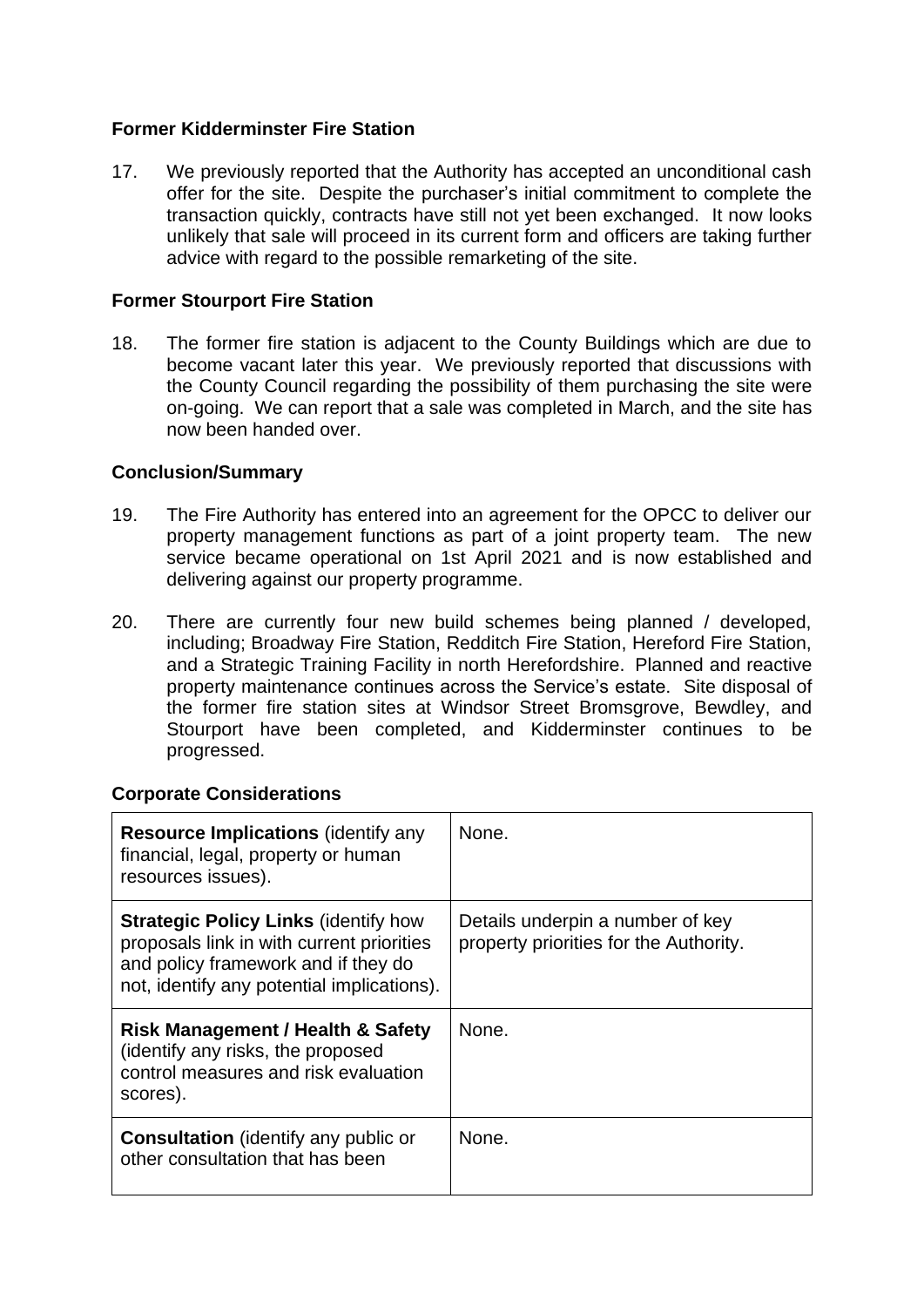## **Former Kidderminster Fire Station**

17. We previously reported that the Authority has accepted an unconditional cash offer for the site. Despite the purchaser's initial commitment to complete the transaction quickly, contracts have still not yet been exchanged. It now looks unlikely that sale will proceed in its current form and officers are taking further advice with regard to the possible remarketing of the site.

## **Former Stourport Fire Station**

18. The former fire station is adjacent to the County Buildings which are due to become vacant later this year. We previously reported that discussions with the County Council regarding the possibility of them purchasing the site were on-going. We can report that a sale was completed in March, and the site has now been handed over.

### **Conclusion/Summary**

- 19. The Fire Authority has entered into an agreement for the OPCC to deliver our property management functions as part of a joint property team. The new service became operational on 1st April 2021 and is now established and delivering against our property programme.
- 20. There are currently four new build schemes being planned / developed, including; Broadway Fire Station, Redditch Fire Station, Hereford Fire Station, and a Strategic Training Facility in north Herefordshire. Planned and reactive property maintenance continues across the Service's estate. Site disposal of the former fire station sites at Windsor Street Bromsgrove, Bewdley, and Stourport have been completed, and Kidderminster continues to be progressed.

### **Corporate Considerations**

| <b>Resource Implications (identify any</b><br>financial, legal, property or human<br>resources issues).                                                                       | None.                                                                      |
|-------------------------------------------------------------------------------------------------------------------------------------------------------------------------------|----------------------------------------------------------------------------|
| <b>Strategic Policy Links (identify how</b><br>proposals link in with current priorities<br>and policy framework and if they do<br>not, identify any potential implications). | Details underpin a number of key<br>property priorities for the Authority. |
| <b>Risk Management / Health &amp; Safety</b><br>(identify any risks, the proposed<br>control measures and risk evaluation<br>scores).                                         | None.                                                                      |
| <b>Consultation</b> (identify any public or<br>other consultation that has been                                                                                               | None.                                                                      |